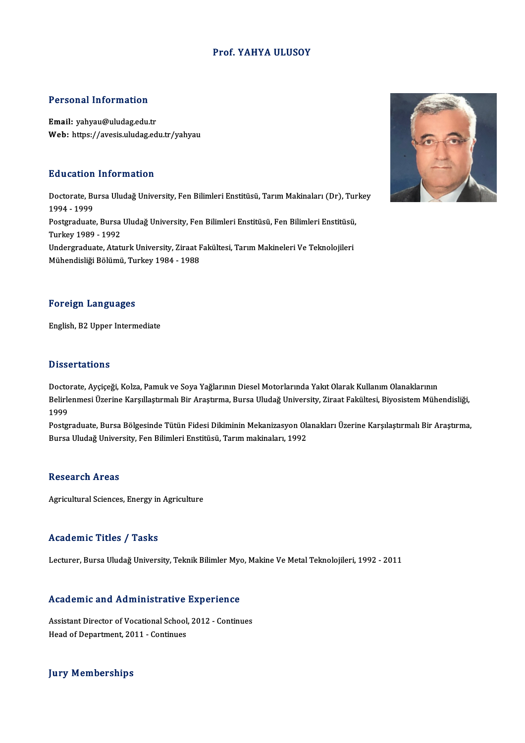# Prof. YAHYA ULUSOY

# Personal Information

Email: yahyau@uludag.edu.tr Web: https://avesis.uludag.edu.tr/yahyau

# Education Information

**Education Information**<br>Doctorate, Bursa Uludağ University, Fen Bilimleri Enstitüsü, Tarım Makinaları (Dr), Turkey<br>1994–1999 1994 -1999 Doctorate, Bursa Uludağ University, Fen Bilimleri Enstitüsü, Tarım Makinaları (Dr), Tur<br>1994 - 1999<br>Postgraduate, Bursa Uludağ University, Fen Bilimleri Enstitüsü, Fen Bilimleri Enstitüsü,<br>Turkay 1989 - 1993 1994 - 1999<br>Postgraduate, Bursa<br>Turkey 1989 - 1992<br>Undergraduate, Atat Postgraduate, Bursa Uludağ University, Fen Bilimleri Enstitüsü, Fen Bilimleri Enstitüsü<br>Turkey 1989 - 1992<br>Undergraduate, Ataturk University, Ziraat Fakültesi, Tarım Makineleri Ve Teknolojileri<br>Mühandialiği Bölümü, Turkey Turkey 1989 - 1992<br>Undergraduate, Ataturk University, Ziraat Fakültesi, Tarım Makineleri Ve Teknolojileri<br>Mühendisliği Bölümü, Turkey 1984 - 1988

## Foreign Languages

English,B2Upper Intermediate

# **Dissertations**

Doctorate, Ayçiçeği, Kolza, Pamuk ve Soya Yağlarının Diesel Motorlarında Yakıt Olarak Kullanım Olanaklarının Babber tatrome<br>Doctorate, Ayçiçeği, Kolza, Pamuk ve Soya Yağlarının Diesel Motorlarında Yakıt Olarak Kullanım Olanaklarının<br>Belirlenmesi Üzerine Karşıllaştırmalı Bir Araştırma, Bursa Uludağ University, Ziraat Fakültesi, Bi Docto<br>Belirle<br>1999<br>Bostar Belirlenmesi Üzerine Karşıllaştırmalı Bir Araştırma, Bursa Uludağ University, Ziraat Fakültesi, Biyosistem Mühendisliği,<br>1999<br>Postgraduate, Bursa Bölgesinde Tütün Fidesi Dikiminin Mekanizasyon Olanakları Üzerine Karşılaştı

1999<br>Postgraduate, Bursa Bölgesinde Tütün Fidesi Dikiminin Mekanizasyon Olanakları Üzerine Karşılaştırmalı Bir Araştırma,<br>Bursa Uludağ University, Fen Bilimleri Enstitüsü, Tarım makinaları, 1992

# **Research Areas**

Agricultural Sciences, Energy in Agriculture

## Academic Titles / Tasks

Lecturer, Bursa Uludağ University, Teknik Bilimler Myo, Makine Ve Metal Teknolojileri, 1992 - 2011

# Lecturer, bursa bludag oniversity, Teknik blumler Myc<br>Academic and Administrative Experience

Academic and Administrative Experience<br>Assistant Director of Vocational School, 2012 - Continues<br>Head of Department 2011, Continues Assistant Director of Vocational School, 2012 - Continues<br>Head of Department, 2011 - Continues

# **Jury Memberships**

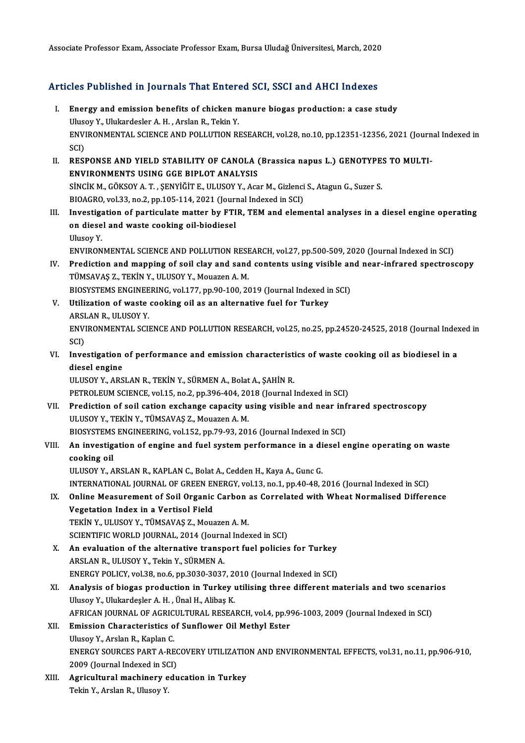Associate Professor Exam, Associate Professor Exam, Bursa Uludağ Üniversitesi, March, 2020

# Associate Professor Exam, Associate Professor Exam, Bursa Oludag Universitesi, March, 2020<br>Articles Published in Journals That Entered SCI, SSCI and AHCI Indexes

- rticles Published in Journals That Entered SCI, SSCI and AHCI Indexes<br>I. Energy and emission benefits of chicken manure biogas production: a case study<br>Illusov Y. Ulukardeslar A.H. Arslap B. Tekin Y. I. Energy and emission benefits of chicken manure biogas production: a case study<br>Ulusoy Y., Ulukardesler A. H., Arslan R., Tekin Y. Energy and emission benefits of chicken manure biogas production: a case study<br>Ulusoy Y., Ulukardesler A. H. , Arslan R., Tekin Y.<br>ENVIRONMENTAL SCIENCE AND POLLUTION RESEARCH, vol.28, no.10, pp.12351-12356, 2021 (Journal Uluse<br>ENVI<br>SCI)<br>PESI ENVIRONMENTAL SCIENCE AND POLLUTION RESEARCH, vol.28, no.10, pp.12351-12356, 2021 (Journ SCI)<br>SCI)<br>II. RESPONSE AND YIELD STABILITY OF CANOLA (Brassica napus L.) GENOTYPES TO MULTI-<br>ENVIRONMENTS USING GGE RIBLOT ANALYSIS
- SCI)<br>II. RESPONSE AND YIELD STABILITY OF CANOLA (Brassica napus L.) GENOTYPES TO MULTI-<br>ENVIRONMENTS USING GGE BIPLOT ANALYSIS RESPONSE AND YIELD STABILITY OF CANOLA (Brassica napus L.) GENOTYPE:<br>ENVIRONMENTS USING GGE BIPLOT ANALYSIS<br>SİNCİK M., GÖKSOY A. T. , ŞENYİĞİT E., ULUSOY Y., Acar M., Gizlenci S., Atagun G., Suzer S.<br>BIOACPO vol 33 no 3 nn ENVIRONMENTS USING GGE BIPLOT ANALYSIS<br>Sincik M., GÖKSOY A. T. , ŞENYIĞİT E., ULUSOY Y., Acar M., Gizlenci<br>BIOAGRO, vol.33, no.2, pp.105-114, 2021 (Journal Indexed in SCI)<br>Investigation of portisulate matter by ETIP, TEM a SINCIK M., GÖKSOY A. T. , ŞENYIĞİT E., ULUSOY Y., Acar M., Gizlenci S., Atagun G., Suzer S.<br>BIOAGRO, vol.33, no.2, pp.105-114, 2021 (Journal Indexed in SCI)<br>III. Investigation of particulate matter by FTIR, TEM and element
- BIOAGRO, vol.33, no.2, pp.105-114, 2021 (Journal Indexed in SCI)<br>Investigation of particulate matter by FTIR, TEM and elem<br>on diesel and waste cooking oil-biodiesel<br>Ulusov Y. Investiga<br>on diese<br>Ulusoy Y.<br>ENVIRON on diesel and waste cooking oil-biodiesel<br>Ulusoy Y.<br>ENVIRONMENTAL SCIENCE AND POLLUTION RESEARCH, vol.27, pp.500-509, 2020 (Journal Indexed in SCI)<br>Prediction and manning of soil slav and sond sontants using visible and ne

Ulusoy Y.<br>ENVIRONMENTAL SCIENCE AND POLLUTION RESEARCH, vol.27, pp.500-509, 2020 (Journal Indexed in SCI)<br>IV. Prediction and mapping of soil clay and sand contents using visible and near-infrared spectroscopy<br>TUMEAVAS Z. T ENVIRONMENTAL SCIENCE AND POLLUTION RESE<br>Prediction and mapping of soil clay and sand<br>TÜMSAVAŞ Z., TEKİN Y., ULUSOY Y., Mouazen A. M.<br>PIOSVSTEMS ENGINEERING .vol.177, np.90,100,26 Prediction and mapping of soil clay and sand contents using visible an<br>TÜMSAVAŞ Z., TEKİN Y., ULUSOY Y., Mouazen A. M.<br>BIOSYSTEMS ENGINEERING, vol.177, pp.90-100, 2019 (Journal Indexed in SCI)<br>Htilization of waste sooking

BIOSYSTEMS ENGINEERING, vol.177, pp.90-100, 2019 (Journal Indexed in SCI)

- TÜMSAVAŞ Z., TEKİN Y., ULUSOY Y., Mouazen A. M.<br>BIOSYSTEMS ENGINEERING, vol.177, pp.90-100, 2019 (Journal Indexed in<br>V. Utilization of waste cooking oil as an alternative fuel for Turkey<br>ARSLAN R., ULUSOY Y. Utilization of waste cooking oil as an alternative fuel for Turkey<br>ARSLAN R., ULUSOY Y.<br>ENVIRONMENTAL SCIENCE AND POLLUTION RESEARCH, vol.25, no.25, pp.24520-24525, 2018 (Journal Indexed in<br>SCD ARSI<br>ENVI<br>SCI)<br>Inve ENVIRONMENTAL SCIENCE AND POLLUTION RESEARCH, vol.25, no.25, pp.24520-24525, 2018 (Journal Index<br>SCI)<br>VI. Investigation of performance and emission characteristics of waste cooking oil as biodiesel in a<br>diesel engine
- SCI)<br>Investigation<br>diesel engine<br>ULUSOV V. APS diesel engine<br>ULUSOY Y., ARSLAN R., TEKİN Y., SÜRMEN A., Bolat A., ŞAHİN R.

PETROLEUM SCIENCE, vol.15, no.2, pp.396-404, 2018 (Journal Indexed in SCI)

ULUSOY Y., ARSLAN R., TEKİN Y., SÜRMEN A., Bolat A., ŞAHİN R.<br>PETROLEUM SCIENCE, vol.15, no.2, pp.396-404, 2018 (Journal Indexed in SCI)<br>VII. Prediction of soil cation exchange capacity using visible and near infrared spec PETROLEUM SCIENCE, vol.15, no.2, pp.396-404, 20<br>Prediction of soil cation exchange capacity u<br>ULUSOY Y., TEKİN Y., TÜMSAVAŞ Z., Mouazen A. M.<br>PIOSVSTEMS ENCINEERINC .vol.152, np.79, 92, 202 Prediction of soil cation exchange capacity using visible and near inf<br>ULUSOY Y., TEKİN Y., TÜMSAVAŞ Z., Mouazen A. M.<br>BIOSYSTEMS ENGINEERING, vol.152, pp.79-93, 2016 (Journal Indexed in SCI)<br>An investigation of engine and

# ULUSOY Y., TEKİN Y., TÜMSAVAŞ Z., Mouazen A. M.<br>BIOSYSTEMS ENGINEERING, vol.152, pp.79-93, 2016 (Journal Indexed in SCI)<br>VIII. An investigation of engine and fuel system performance in a diesel engine operating on wast BIOSYSTEMS ENGINEERING, vol.152, pp.79-93, 2016 (Journal Indexed in SCI)<br>An investigation of engine and fuel system performance in a diesel e<br>cooking oil<br>ULUSOY Y., ARSLAN R., KAPLAN C., Bolat A., Cedden H., Kaya A., Gunc An investigation of engine and fuel system performance in a di<br>cooking oil<br>ULUSOY Y., ARSLAN R., KAPLAN C., Bolat A., Cedden H., Kaya A., Gunc G.<br>INTERNATIONAL JOURNAL OF CREEN ENERCY .val.13, no.1, nn.40,48, ? cooking oil<br>ULUSOY Y., ARSLAN R., KAPLAN C., Bolat A., Cedden H., Kaya A., Gunc G.<br>INTERNATIONAL JOURNAL OF GREEN ENERGY, vol.13, no.1, pp.40-48, 2016 (Journal Indexed in SCI)<br>Online Measurement of Seil Organis Carbon as C

ULUSOY Y., ARSLAN R., KAPLAN C., Bolat A., Cedden H., Kaya A., Gunc G.<br>INTERNATIONAL JOURNAL OF GREEN ENERGY, vol.13, no.1, pp.40-48, 2016 (Journal Indexed in SCI)<br>IX. Online Measurement of Soil Organic Carbon as Correlate INTERNATIONAL JOURNAL OF GREEN EN<br>Online Measurement of Soil Organic<br>Vegetation Index in a Vertisol Field<br>TEKIN V. III USOV V. TÜMSAVAS Z. MOV Online Measurement of Soil Organic Carbon<br>Vegetation Index in a Vertisol Field<br>TEKİN Y., ULUSOY Y., TÜMSAVAŞ Z., Mouazen A. M.<br>SCIENTIEIC WORLD JOUPNAL 2014 (Journal Inde Vegetation Index in a Vertisol Field<br>TEKİN Y., ULUSOY Y., TÜMSAVAŞ Z., Mouazen A. M.<br>SCIENTIFIC WORLD JOURNAL, 2014 (Journal Indexed in SCI)<br>An evaluation of the alternative transport fuel polisies

- TEKIN Y., ULUSOY Y., TÜMSAVAŞ Z., Mouazen A. M.<br>SCIENTIFIC WORLD JOURNAL, 2014 (Journal Indexed in SCI)<br>X. An evaluation of the alternative transport fuel policies for Turkey<br>APSLAN P. ULUSOV V. Tekin V. SÜPMEN A. SCIENTIFIC WORLD JOURNAL, 2014 (Journa<br>An evaluation of the alternative transp<br>ARSLAN R., ULUSOY Y., Tekin Y., SÜRMEN A. An evaluation of the alternative transport fuel policies for Turkey<br>ARSLAN R., ULUSOY Y., Tekin Y., SÜRMEN A.<br>ENERGY POLICY, vol.38, no.6, pp.3030-3037, 2010 (Journal Indexed in SCI)<br>Analysis of biogge production in Turkey ENERGY POLICY, vol.38, no.6, pp.3030-3037, 2010 (Journal Indexed in SCI)
- ARSLAN R., ULUSOY Y., Tekin Y., SÜRMEN A.<br>ENERGY POLICY, vol.38, no.6, pp.3030-3037, 2010 (Journal Indexed in SCI)<br>XI. Analysis of biogas production in Turkey utilising three different materials and two scenarios<br>Ulusoy Y. Analysis of biogas production in Turkey utilising three different materials and two scenar<br>Ulusoy Y., Ulukardeşler A. H. , Ünal H., Alibaş K.<br>AFRICAN JOURNAL OF AGRICULTURAL RESEARCH, vol.4, pp.996-1003, 2009 (Journal Inde
- XII. Emission Characteristics of Sunflower Oil Methyl Ester<br>Ulusoy Y., Arslan R., Kaplan C. AFRICAN JOURNAL OF AGRIC<br>Emission Characteristics of<br>Ulusoy Y., Arslan R., Kaplan C.<br>ENEDCY SOURCES PAPT A BE Emission Characteristics of Sunflower Oil Methyl Ester<br>Ulusoy Y., Arslan R., Kaplan C.<br>ENERGY SOURCES PART A-RECOVERY UTILIZATION AND ENVIRONMENTAL EFFECTS, vol.31, no.11, pp.906-910,<br>2000 (Jaurnal Indoved in SCI) Ulusoy Y., Arslan R., Kaplan C.<br>ENERGY SOURCES PART A-REC<br>2009 (Journal Indexed in SCI)<br>Agricultural magbinery edu ENERGY SOURCES PART A-RECOVERY UTILIZATIO<br>2009 (Journal Indexed in SCI)<br>XIII. Agricultural machinery education in Turkey
- 2009 (Journal Indexed in SCI)<br>XIII. Agricultural machinery education in Turkey<br>Tekin Y., Arslan R., Ulusoy Y.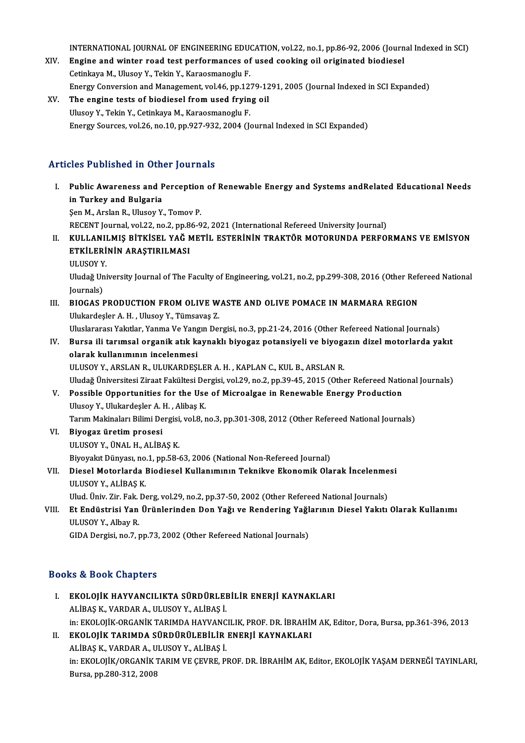INTERNATIONAL JOURNAL OF ENGINEERING EDUCATION, vol.22, no.1, pp.86-92, 2006 (Journal Indexed in SCI)<br>Engine and winter road test performances of used cooking eil eniginated biodiesel

- INTERNATIONAL JOURNAL OF ENGINEERING EDUCATION, vol.22, no.1, pp.86-92, 2006 (Journ<br>XIV. Engine and winter road test performances of used cooking oil originated biodiesel INTERNATIONAL JOURNAL OF ENGINEERING EDU<br>Engine and winter road test performances of<br>Cetinkaya M., Ulusoy Y., Tekin Y., Karaosmanoglu F.<br>Energy Conversion and Management val 46 nn 12. Engine and winter road test performances of used cooking oil originated biodiesel<br>Cetinkaya M., Ulusoy Y., Tekin Y., Karaosmanoglu F.<br>Energy Conversion and Management, vol.46, pp.1279-1291, 2005 (Journal Indexed in SCI Exp Cetinkaya M., Ulusoy Y., Tekin Y., Karaosmanoglu F.<br>Energy Conversion and Management, vol.46, pp.1279-12<br>XV. The engine tests of biodiesel from used frying oil<br>Ulusoy Y., Tekin Y., Cetinkaya M., Karaosmanoglu F.
- Energy Conversion and Management, vol.46, pp.12<br>The engine tests of biodiesel from used fryin<br>Ulusoy Y., Tekin Y., Cetinkaya M., Karaosmanoglu F.<br>Frergy Sources vol.26, no.10, np.927,922,2004 (L Energy Sources, vol.26, no.10, pp.927-932, 2004 (Journal Indexed in SCI Expanded)

# Articles Published in Other Journals

rticles Published in Other Journals<br>I. Public Awareness and Perception of Renewable Energy and Systems andRelated Educational Needs<br>in Turkey and Bulgaria rico Published in Str.<br>Public Awareness and F<br>in Turkey and Bulgaria<br>Sen M. Arclan B. Ulusey V. Public Awareness and Perception<br>in Turkey and Bulgaria<br>Şen M., Arslan R., Ulusoy Y., Tomov P.<br>PECENT Journal vol 22, no 2, nn 96.9 in Turkey and Bulgaria<br>Şen M., Arslan R., Ulusoy Y., Tomov P.<br>RECENT Journal, vol.22, no.2, pp.86-92, 2021 (International Refereed University Journal)

II. KULLANILMIS BİTKİSEL YAĞ METİL ESTERİNİN TRAKTÖR MOTORUNDA PERFORMANS VE EMİSYON RECENT Journal, vol.22, no.2, pp.8<br>KULLANILMIŞ BİTKİSEL YAĞ M<br>ETKİLERİNİN ARAŞTIRILMASI<br>III HSOV V KULLANII<br>ETKİLERİ<br>ULUSOY Y.<br>Uludağ Uni ETKİLERİNİN ARAŞTIRILMASI<br>ULUSOY Y.<br>Uludağ University Journal of The Faculty of Engineering, vol.21, no.2, pp.299-308, 2016 (Other Refereed National

ULUSOY Y<br>Uludağ Un<br>Journals)<br>PJOCAS I Uludağ University Journal of The Faculty of Engineering, vol.21, no.2, pp.299-308, 2016 (Other Ref<br>Journals)<br>III. BIOGAS PRODUCTION FROM OLIVE WASTE AND OLIVE POMACE IN MARMARA REGION

- Journals)<br>BIOGAS PRODUCTION FROM OLIVE W<br>Ulukardeşler A. H. , Ulusoy Y., Tümsavaş Z.<br>Uluclararesı Yakıtlar Yanma Ve Yangın Da BIOGAS PRODUCTION FROM OLIVE WASTE AND OLIVE POMACE IN MARMARA REGION<br>Ulukardeşler A. H. , Ulusoy Y., Tümsavaş Z.<br>Uluslararası Yakıtlar, Yanma Ve Yangın Dergisi, no.3, pp.21-24, 2016 (Other Refereed National Journals)<br>Burg Ulukardeşler A. H. , Ulusoy Y., Tümsavaş Z.<br>Uluslararası Yakıtlar, Yanma Ve Yangın Dergisi, no.3, pp.21-24, 2016 (Other Refereed National Journals)<br>IV. Bursa ili tarımsal organik atık kaynaklı biyogaz potansiyeli ve bi
- Uluslararası Yakıtlar, Yanma Ve Yang<br>Bursa ili tarımsal organik atık ka<br>olarak kullanımının incelenmesi<br>ULUSOV V. ARSLAN B. ULUKARDESI

olarak kullanımının incelenmesi<br>ULUSOY Y., ARSLAN R., ULUKARDEŞLER A. H. , KAPLAN C., KUL B., ARSLAN R. olarak kullanımının incelenmesi<br>ULUSOY Y., ARSLAN R., ULUKARDEŞLER A. H. , KAPLAN C., KUL B., ARSLAN R.<br>Uludağ Üniversitesi Ziraat Fakültesi Dergisi, vol.29, no.2, pp.39-45, 2015 (Other Refereed National Journals)<br>Possible ULUSOY Y., ARSLAN R., ULUKARDEŞLER A. H. , KAPLAN C., KUL B., ARSLAN R.<br>Uludağ Üniversitesi Ziraat Fakültesi Dergisi, vol.29, no.2, pp.39-45, 2015 (Other Refereed Nation<br>V. Possible Opportunities for the Use of Microalgae

- Uludağ Üniversitesi Ziraat Fakültesi De<br>Possible Opportunities for the Use<br>Ulusoy Y., Ulukardeşler A. H. , Alibaş K.<br>Tarım Makinaları Bilimi Dargisi vel 8. r V. Possible Opportunities for the Use of Microalgae in Renewable Energy Production<br>Ulusoy Y., Ulukardeşler A. H., Alibaş K. Tarım Makinaları Bilimi Dergisi, vol.8, no.3, pp.301-308, 2012 (Other Refereed National Journals)
- VI. Biyogaz üretim prosesi<br>ULUSOY Y., ÜNAL H., ALİBAŞ K. Biyogaz üretim prosesi<br>ULUSOY Y., ÜNAL H., ALİBAŞ K.<br>Biyoyakıt Dünyası, no.1, pp.58-63, 2006 (National Non-Refereed Journal)<br>Diesel Metarlarda Biodiesel Kullanımının Teknikve Ekanomik Ole

# VII. Diesel Motorlarda Biodiesel Kullanımının Teknikve Ekonomik Olarak İncelenmesi<br>ULUSOY Y., ALİBAŞ K. Biyoyakıt Dünyası, no.<br>Diesel Motorlarda I<br>ULUSOY Y., ALİBAŞ K.<br>Ulud Üniv Zin Fak D. Diesel Motorlarda Biodiesel Kullanımının Teknikve Ekonomik Olarak İncelenme<br>ULUSOY Y., ALİBAŞ K.<br>Ulud. Üniv. Zir. Fak. Derg, vol.29, no.2, pp.37-50, 2002 (Other Refereed National Journals)<br>Et Endüstrisi Yan Ürünlerinden De

VIII. Et Endüstrisi Yan Ürünlerinden Don Yağı ve Rendering Yağlarının Diesel Yakıtı Olarak Kullanımı<br>ULUSOY Y., Albay R. Ulud. Üniv. Zir. Fak.<br>**Et Endüstrisi Yan**<br>ULUSOY Y., Albay R.<br>CIDA Dergisi no 7, 1

GIDA Dergisi, no.7, pp.73, 2002 (Other Refereed National Journals)

# Books&Book Chapters

- OOks & Book Chapters<br>I. EKOLOJİK HAYVANCILIKTA SÜRDÜRLEBİLİR ENERJİ KAYNAKLARI<br>ALİPAS K. VARDAR A. IILISOY V. ALİPAS İ AL ALIBAŞK.<br>ALİBAŞ K., VARDAR A., ULUSOY Y., ALİBAŞ İ.<br>ALİBAŞ K., VARDAR A., ULUSOY Y., ALİBAŞ İ. EKOLOJİK HAYVANCILIKTA SÜRDÜRLEBİLİR ENERJİ KAYNAKLARI<br>ALİBAŞ K., VARDAR A., ULUSOY Y., ALİBAŞ İ.<br>in: EKOLOJİK-ORGANİK TARIMDA HAYVANCILIK, PROF. DR. İBRAHİM AK, Editor, Dora, Bursa, pp.361-396, 2013<br>EKOLOJİK TARIMDA SÜRDÜ ALİBAŞ K., VARDAR A., ULUSOY Y., ALİBAŞ İ.<br>in: EKOLOJİK-ORGANİK TARIMDA HAYVANCILIK, PROF. DR. İBRAHİM<br>II. EKOLOJİK TARIMDA SÜRDÜRÜLEBİLİR ENERJİ KAYNAKLARI<br>ALİBAŞ K., VARDAR A., ULUSOY Y., ALİBAŞ İ.
- in: EKOLOJİK-ORGANİK TARIMDA HAYVANC<br>**EKOLOJİK TARIMDA SÜRDÜRÜLEBİLİR**<br>ALİBAŞ K., VARDAR A., ULUSOY Y., ALİBAŞ İ.<br>in: EKOLOJİK (ORGANİK TARIM VE GEVRE P. in:EKOLOJİK/ORGANİKTARIMVEÇEVRE,PROF.DR. İBRAHİMAK,Editor,EKOLOJİKYAŞAMDERNEĞİTAYINLARI, Bursa,pp.280-312,2008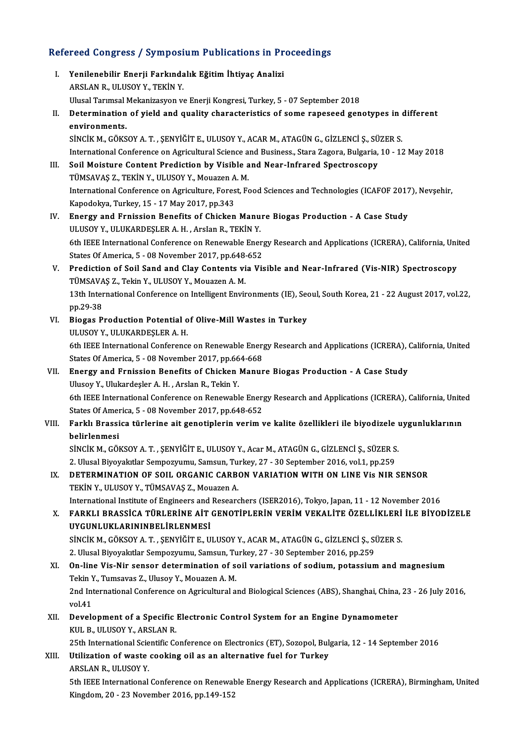Refereed Congress / Symposium Publications in Proceedings<br>Refereed Congress / Symposium Publications in Proceedings efereed Congress / Symposium Publications in Pr<br>I. Yenilenebilir Enerji Farkındalık Eğitim İhtiyaç Analizi<br>ARSLAN BULUSOV Y TEKİN V I. Yenilenebilir Enerji Farkındalık Eğitim İhtiyaç Analizi<br>ARSLAN R., ULUSOY Y., TEKİN Y. Yenilenebilir Enerji Farkındalık Eğitim İhtiyaç Analizi<br>ARSLAN R., ULUSOY Y., TEKİN Y.<br>Ulusal Tarımsal Mekanizasyon ve Enerji Kongresi, Turkey, 5 - 07 September 2018<br>Determination of viald and suality ehenesteristise of so ARSLAN R., ULUSOY Y., TEKİN Y.<br>Ulusal Tarımsal Mekanizasyon ve Enerji Kongresi, Turkey, 5 - 07 September 2018<br>II. Determination of yield and quality characteristics of some rapeseed genotypes in different<br>onvinenments Ulusal Tarimsal<br>Determination<br>environments.<br>sinciv M. Cövs Determination of yield and quality characteristics of some rapeseed genotypes in environments.<br>environments.<br>SİNCİK M., GÖKSOY A. T. , ŞENYİĞİT E., ULUSOY Y., ACAR M., ATAGÜN G., GİZLENCİ Ş., SÜZER S.<br>International Confere environments.<br>SİNCİK M., GÖKSOY A. T. , ŞENYİĞİT E., ULUSOY Y., ACAR M., ATAGÜN G., GİZLENCİ Ş., SÜZER S.<br>International Conference on Agricultural Science and Business., Stara Zagora, Bulgaria, 10 - 12 May 2018<br>Seil Meistu SİNCİK M., GÖKSOY A. T. , ŞENYİĞİT E., ULUSOY Y., ACAR M., ATAGÜN G., GİZLENCİ Ş., SÜ<br>International Conference on Agricultural Science and Business., Stara Zagora, Bulgaria,<br>III. Soil Moisture Content Prediction by Visible International Conference on Agricultural Science a<br>Soil Moisture Content Prediction by Visible a<br>TÜMSAVAŞ Z., TEKİN Y., ULUSOY Y., Mouazen A. M.<br>International Conference on Agriculture Forest Es III. Soil Moisture Content Prediction by Visible and Near-Infrared Spectroscopy<br>TÜMSAVAŞ Z., TEKİN Y., ULUSOY Y., Mouazen A. M.<br>International Conference on Agriculture, Forest, Food Sciences and Technologies (ICAFOF 2017), TÜMSAVAŞ Z., TEKİN Y., ULUSOY Y., Mouazen A. M. International Conference on Agriculture, Forest, Food Sciences and Technologies (ICAFOF 2017<br>Kapodokya, Turkey, 15 - 17 May 2017, pp.343<br>IV. Energy and Frnission Benefits of Chicken Manure Biogas Production - A Case Study<br> Kapodokya, Turkey, 15 - 17 May 2017, pp.343<br>Energy and Frnission Benefits of Chicken Manu<br>ULUSOY Y., ULUKARDEŞLER A. H. , ArsIan R., TEKİN Y.<br>6th IEEE International Conference on Benewable Ener 0t ULUSOY Y., ULUKARDEȘLER A. H. , Arslan R., TEKİN Y.<br>6th IEEE International Conference on Renewable Energy Research and Applications (ICRERA), California, United ULUSOY Y., ULUKARDEŞLER A. H. , Arslan R., TEKİN Y.<br>6th IEEE International Conference on Renewable Energ<br>States Of America, 5 - 08 November 2017, pp.648-652<br>Prodistion of Soil Sand and Clay Contents via Via V. Prediction of Soil Sand and Clay Contents via Visible and Near-Infrared (Vis-NIR) Spectroscopy States Of America, 5 - 08 November 2017, pp.648-<br>Prediction of Soil Sand and Clay Contents vi<br>TÜMSAVAŞ Z., Tekin Y., ULUSOY Y., Mouazen A. M.<br>12th International Conference on Intelligent Envir Prediction of Soil Sand and Clay Contents via Visible and Near-Infrared (Vis-NIR) Spectroscopy<br>TÜMSAVAŞ Z., Tekin Y., ULUSOY Y., Mouazen A. M.<br>13th International Conference on Intelligent Environments (IE), Seoul, South Ko TÜMSAVA<br>13th Inter<br>pp.29-38<br>Biogae B 13th International Conference on Intelligent Environments (IE), See<br>pp.29-38<br>VI. Biogas Production Potential of Olive-Mill Wastes in Turkey<br>III HSOV V. HUJKAPDESLER A. H pp.29-38<br>VI. Biogas Production Potential of Olive-Mill Wastes in Turkey<br>ULUSOY Y., ULUKARDEŞLER A. H. Biogas Production Potential of Olive-Mill Wastes in Turkey<br>ULUSOY Y., ULUKARDEȘLER A. H.<br>6th IEEE International Conference on Renewable Energy Research and Applications (ICRERA), California, United<br>States Of America, E., 0 ULUSOY Y., ULUKARDEŞLER A. H.<br>6th IEEE International Conference on Renewable Energ<br>States Of America, 5 - 08 November 2017, pp.664-668<br>Energy and Ennissian Benefits of Chielten Manur 6th IEEE International Conference on Renewable Energy Research and Applications (ICRERA), I<br>States Of America, 5 - 08 November 2017, pp.664-668<br>VII. Energy and Frnission Benefits of Chicken Manure Biogas Production - A Cas States Of America, 5 - 08 November 2017, pp.66<br>Energy and Frnission Benefits of Chicken<br>Ulusoy Y., Ulukardeşler A.H., Arslan R., Tekin Y.<br>6th JEEE International Conference on Bonewahl Ulusoy Y., Ulukardeşler A. H. , Arslan R., Tekin Y.<br>6th IEEE International Conference on Renewable Energy Research and Applications (ICRERA), California, United Ulusoy Y., Ulukardeşler A. H. , Arslan R., Tekin Y.<br>6th IEEE International Conference on Renewable Energ<br>States Of America, 5 - 08 November 2017, pp.648-652<br>Farklı Prassisa türlerine ait sanatinlerin yarim y VIII. Farklı Brassica türlerine ait genotiplerin verim ve kalite özellikleri ile biyodizele uygunluklarının belirlenmesi States Of Amer<br>Farklı Brassi<br>belirlenmesi<br>sinciv M. Cöl Farklı Brassica türlerine ait genotiplerin verim ve kalite özellikleri ile biyodizele ı<br>belirlenmesi<br>SİNCİK M., GÖKSOY A. T. , ŞENYİĞİT E., ULUSOY Y., Acar M., ATAGÜN G., GİZLENCİ Ş., SÜZER S.<br>2. Ulusal Biyovalıtlar Samnaz belirlenmesi<br>SİNCİK M., GÖKSOY A. T. , ŞENYİĞİT E., ULUSOY Y., Acar M., ATAGÜN G., GİZLENCİ Ş., SÜZER S<br>2. Ulusal Biyoyakıtlar Sempozyumu, Samsun, Turkey, 27 - 30 September 2016, vol.1, pp.259<br>DETERMINATION OF SOU. ORGANIC

2. Ulusal Biyoyakıtlar Sempozyumu, Samsun, Turkey, 27 - 30 September 2016, vol.1, pp.259

# IX. DETERMINATION OF SOIL ORGANIC CARBON VARIATION WITH ON LINE Vis NIR SENSOR TEKIN Y., ULUSOY Y., TÜMSAVAS Z., Mouazen A. International Institute of Engineers and Researchers (ISER2016), Tokyo, Japan, 11 - 12 November 2016

- TEKİN Y., ULUSOY Y., TÜMSAVAŞ Z., Mouazen A.<br>International Institute of Engineers and Researchers (ISER2016), Tokyo, Japan, 11 12 November 2016<br>X. FARKLI BRASSİCA TÜRLERİNE AİT GENOTİPLERİN VERİM VEKALİTE ÖZELLİKLERİ International Institute of Engineers and<br>FARKLI BRASSİCA TÜRLERİNE AİT<br>UYGUNLUKLARININBELİRLENMESİ<br>SİNCİK M. CÖKSOV A.T. SENVİĞİTE U FARKLI BRASSİCA TÜRLERİNE AİT GENOTİPLERİN VERİM VEKALİTE ÖZELLİKLERİ<br>UYGUNLUKLARININBELİRLENMESİ<br>SİNCİK M., GÖKSOY A. T. , ŞENYİĞİT E., ULUSOY Y., ACAR M., ATAGÜN G., GİZLENCİ Ş., SÜZER S.<br>2. Ulusel Biyayalıtlar Semnettay UYGUNLUKLARININBELİRLENMESİ<br>SİNCİK M., GÖKSOY A. T. , ŞENYİĞİT E., ULUSOY Y., ACAR M., ATAGÜN G., GİZLENCİ Ş., Sİ<br>2. Ulusal Biyoyakıtlar Sempozyumu, Samsun, Turkey, 27 - 30 September 2016, pp.259<br>On line Vis Nin sensen det SINCIK M., GÖKSOY A. T. , ŞENYIĞİT E., ULUSOY Y., ACAR M., ATAGÜN G., GİZLENCİ Ş., SÜZER S.<br>2. Ulusal Biyoyakıtlar Sempozyumu, Samsun, Turkey, 27 - 30 September 2016, pp.259<br>XI. On-line Vis-Nir sensor determination of soil
- 2. Ulusal Biyoyakıtlar Sempozyumu, Samsun, Tu<br>On-line Vis-Nir sensor determination of source<br>Tekin Y., Tumsavas Z., Ulusoy Y., Mouazen A. M.<br>2nd International Conference on Agricultural o On-line Vis-Nir sensor determination of soil variations of sodium, potassium and magnesium<br>Tekin Y., Tumsavas Z., Ulusoy Y., Mouazen A. M.<br>2nd International Conference on Agricultural and Biological Sciences (ABS), Shangha Tekin Y., Tumsavas Z., Ulusoy Y., Mouazen A. M.<br>2nd International Conference on Agricultural and Biological Sciences (ABS), Shanghai, China, 23 - 26 July 2016,<br>vol.41 2nd International Conference on Agricultural and Biological Sciences (ABS), Shanghai, China,<br>vol.41<br>XII. Development of a Specific Electronic Control System for an Engine Dynamometer<br>KII. B. III ISOV V. ABSLAN B
- vol.41<br>Development of a Specific<br>KUL B., ULUSOY Y., ARSLAN R.<br>25th International Scientific Co Development of a Specific Electronic Control System for an Engine Dynamometer<br>KUL B., ULUSOY Y., ARSLAN R.<br>25th International Scientific Conference on Electronics (ET), Sozopol, Bulgaria, 12 - 14 September 2016<br>Htiligation

KUL B., ULUSOY Y., ARSLAN R.<br>25th International Scientific Conference on Electronics (ET), Sozopol, Bulg<br>XIII. Utilization of waste cooking oil as an alternative fuel for Turkey 25th International Scie<br>Utilization of waste<br>ARSLAN R., ULUSOY Y.<br>Eth IEEE International

Utilization of waste cooking oil as an alternative fuel for Turkey<br>ARSLAN R., ULUSOY Y.<br>5th IEEE International Conference on Renewable Energy Research and Applications (ICRERA), Birmingham, United<br>Kingdom, 20, .22 November ARSLAN R., ULUSOY Y.<br>5th IEEE International Conference on Renewal<br>Kingdom, 20 - 23 November 2016, pp.149-152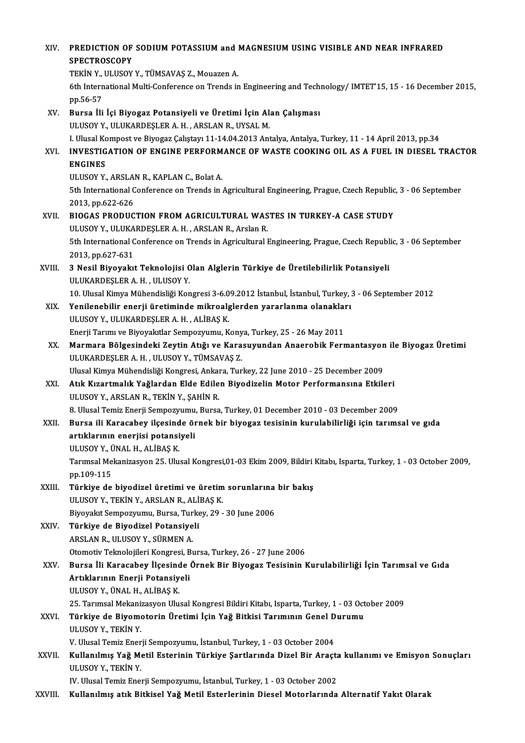| XIV.         | PREDICTION OF SODIUM POTASSIUM and MAGNESIUM USING VISIBLE AND NEAR INFRARED                                                                                                             |
|--------------|------------------------------------------------------------------------------------------------------------------------------------------------------------------------------------------|
|              | <b>SPECTROSCOPY</b>                                                                                                                                                                      |
|              | TEKİN Y., ULUSOY Y., TÜMSAVAŞ Z., Mouazen A.                                                                                                                                             |
|              | 6th International Multi-Conference on Trends in Engineering and Technology/ IMTET'15, 15 - 16 December 2015,<br>pp 56-57                                                                 |
| XV.          | Bursa İli İçi Biyogaz Potansiyeli ve Üretimi İçin Alan Çalışması                                                                                                                         |
|              | ULUSOY Y., ULUKARDEŞLER A.H., ARSLAN R., UYSAL M.                                                                                                                                        |
|              | I. Ulusal Kompost ve Biyogaz Çalıştayı 11-14.04.2013 Antalya, Antalya, Turkey, 11 - 14 April 2013, pp.34                                                                                 |
| XVI.         | INVESTIGATION OF ENGINE PERFORMANCE OF WASTE COOKING OIL AS A FUEL IN DIESEL TRACTOR<br><b>ENGINES</b>                                                                                   |
|              | ULUSOY Y., ARSLAN R., KAPLAN C., Bolat A.                                                                                                                                                |
|              | 5th International Conference on Trends in Agricultural Engineering, Prague, Czech Republic, 3 - 06 September                                                                             |
|              | 2013, pp 622-626                                                                                                                                                                         |
| XVII.        | BIOGAS PRODUCTION FROM AGRICULTURAL WASTES IN TURKEY-A CASE STUDY                                                                                                                        |
|              | ULUSOY Y., ULUKARDEŞLER A.H., ARSLAN R., Arslan R.                                                                                                                                       |
|              | 5th International Conference on Trends in Agricultural Engineering, Prague, Czech Republic, 3 - 06 September<br>2013, pp 627-631                                                         |
| XVIII.       | 3 Nesil Biyoyakıt Teknolojisi Olan Alglerin Türkiye de Üretilebilirlik Potansiyeli                                                                                                       |
|              | ULUKARDEŞLER A.H., ULUSOY Y.                                                                                                                                                             |
|              | 10. Ulusal Kimya Mühendisliği Kongresi 3-6.09.2012 İstanbul, İstanbul, Turkey, 3 - 06 September 2012                                                                                     |
| XIX.         | Yenilenebilir enerji üretiminde mikroalglerden yararlanma olanakları                                                                                                                     |
|              | ULUSOY Y., ULUKARDEŞLER A.H., ALİBAŞ K.                                                                                                                                                  |
|              | Enerji Tarımı ve Biyoyakıtlar Sempozyumu, Konya, Turkey, 25 - 26 May 2011                                                                                                                |
| XX.          | Marmara Bölgesindeki Zeytin Atığı ve Karasuyundan Anaerobik Fermantasyon ile Biyogaz Üretimi                                                                                             |
|              | ULUKARDEŞLER A.H., ULUSOY Y., TÜMSAVAŞ Z.                                                                                                                                                |
|              | Ulusal Kimya Mühendisliği Kongresi, Ankara, Turkey, 22 June 2010 - 25 December 2009                                                                                                      |
| XXI.         | Atık Kızartmalık Yağlardan Elde Edilen Biyodizelin Motor Performansına Etkileri                                                                                                          |
|              | ULUSOY Y., ARSLAN R., TEKİN Y., ŞAHİN R.                                                                                                                                                 |
| XXII.        | 8. Ulusal Temiz Enerji Sempozyumu, Bursa, Turkey, 01 December 2010 - 03 December 2009<br>Bursa ili Karacabey ilçesinde örnek bir biyogaz tesisinin kurulabilirliği için tarımsal ve gıda |
|              | artıklarının enerjisi potansiyeli                                                                                                                                                        |
|              | ULUSOY Y, ÜNAL H, ALİBAŞ K                                                                                                                                                               |
|              | Tarımsal Mekanizasyon 25. Ulusal Kongresi,01-03 Ekim 2009, Bildiri Kitabı, Isparta, Turkey, 1 - 03 October 2009,                                                                         |
|              | pp 109-115                                                                                                                                                                               |
| XXIII.       | Türkiye de biyodizel üretimi ve üretim sorunlarına bir bakış                                                                                                                             |
|              | ULUSOY Y., TEKİN Y., ARSLAN R., ALİBAŞ K.                                                                                                                                                |
|              | Biyoyakıt Sempozyumu, Bursa, Turkey, 29 - 30 June 2006                                                                                                                                   |
| XXIV.        | Türkiye de Biyodizel Potansiyeli                                                                                                                                                         |
|              | ARSLAN R., ULUSOY Y., SÜRMEN A.                                                                                                                                                          |
|              | Otomotiv Teknolojileri Kongresi, Bursa, Turkey, 26 - 27 June 2006                                                                                                                        |
| XXV.         | Bursa İli Karacabey İlçesinde Örnek Bir Biyogaz Tesisinin Kurulabilirliği İçin Tarımsal ve Gıda                                                                                          |
|              | Artıklarının Enerji Potansiyeli                                                                                                                                                          |
|              | ULUSOY Y, ÜNAL H, ALİBAŞ K                                                                                                                                                               |
| XXVI.        | 25. Tarımsal Mekanizasyon Ulusal Kongresi Bildiri Kitabı, Isparta, Turkey, 1 - 03 October 2009                                                                                           |
|              | Türkiye de Biyomotorin Üretimi İçin Yağ Bitkisi Tarımının Genel Durumu<br>ULUSOY Y., TEKİN Y.                                                                                            |
|              | V. Ulusal Temiz Enerji Sempozyumu, İstanbul, Turkey, 1 - 03 October 2004                                                                                                                 |
| <b>XXVII</b> | Kullanılmış Yağ Metil Esterinin Türkiye Şartlarında Dizel Bir Araçta kullanımı ve Emisyon Sonuçları                                                                                      |
|              | ULUSOY Y., TEKİN Y.                                                                                                                                                                      |
|              | IV. Ulusal Temiz Enerji Sempozyumu, İstanbul, Turkey, 1 - 03 October 2002                                                                                                                |
| XXVIII.      | Kullanılmış atık Bitkisel Yağ Metil Esterlerinin Diesel Motorlarında Alternatif Yakıt Olarak                                                                                             |
|              |                                                                                                                                                                                          |